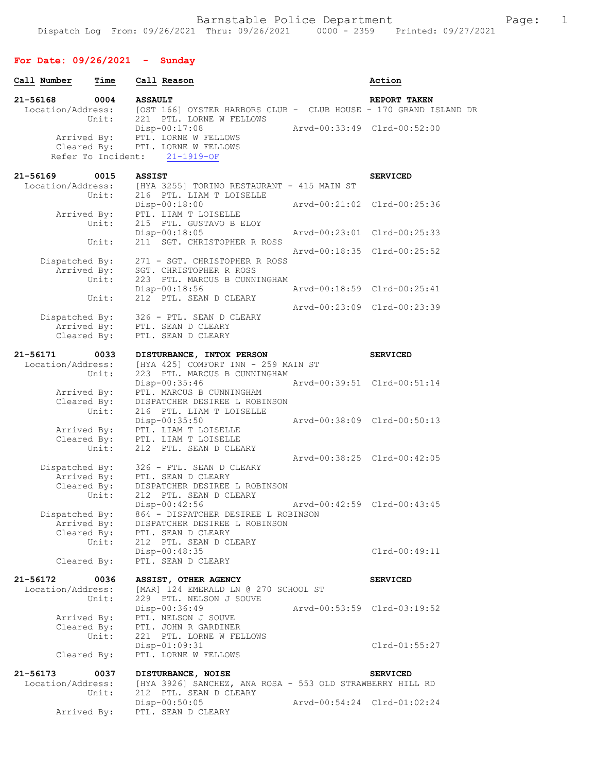# **For Date: 09/26/2021 - Sunday**

| Call Number                   | Time                       |                | Call Reason                                                                     | Action                      |
|-------------------------------|----------------------------|----------------|---------------------------------------------------------------------------------|-----------------------------|
| 21-56168                      | 0004                       | <b>ASSAULT</b> |                                                                                 | REPORT TAKEN                |
| Location/Address:             |                            |                | [OST 166] OYSTER HARBORS CLUB - CLUB HOUSE - 170 GRAND ISLAND DR                |                             |
|                               | Unit:                      |                | 221 PTL. LORNE W FELLOWS<br>Disp-00:17:08                                       | Arvd-00:33:49 Clrd-00:52:00 |
|                               |                            |                | Arrived By: PTL. LORNE W FELLOWS                                                |                             |
|                               | Cleared By:                |                | PTL. LORNE W FELLOWS                                                            |                             |
|                               | Refer To Incident:         |                | $21 - 1919 - OF$                                                                |                             |
| 21-56169                      | 0015                       | <b>ASSIST</b>  |                                                                                 | <b>SERVICED</b>             |
| Location/Address:             |                            |                | [HYA 3255] TORINO RESTAURANT - 415 MAIN ST                                      |                             |
|                               | Unit:                      |                | 216 PTL. LIAM T LOISELLE<br>$Disp-00:18:00$                                     | Arvd-00:21:02 Clrd-00:25:36 |
| Arrived By:                   |                            |                | PTL. LIAM T LOISELLE                                                            |                             |
|                               | Unit:                      |                | 215 PTL. GUSTAVO B ELOY                                                         |                             |
|                               | Unit:                      |                | Disp-00:18:05<br>211 SGT. CHRISTOPHER R ROSS                                    | Arvd-00:23:01 Clrd-00:25:33 |
|                               |                            |                |                                                                                 | Arvd-00:18:35 Clrd-00:25:52 |
| Dispatched By:                |                            |                | 271 - SGT. CHRISTOPHER R ROSS                                                   |                             |
| Arrived By:                   | Unit:                      |                | SGT. CHRISTOPHER R ROSS                                                         |                             |
|                               |                            |                | 223 PTL. MARCUS B CUNNINGHAM<br>Disp-00:18:56                                   | Arvd-00:18:59 Clrd-00:25:41 |
|                               | Unit:                      |                | 212 PTL. SEAN D CLEARY                                                          |                             |
|                               |                            |                |                                                                                 | Arvd-00:23:09 Clrd-00:23:39 |
| Dispatched By:                | Arrived By:                |                | 326 - PTL. SEAN D CLEARY<br>326 - FIL. SEAN<br>PTL. SEAN D CLEARY               |                             |
|                               | Cleared By:                |                | PTL. SEAN D CLEARY                                                              |                             |
|                               |                            |                |                                                                                 |                             |
| 21-56171<br>Location/Address: | 0033                       |                | DISTURBANCE, INTOX PERSON<br>[HYA 425] COMFORT INN - 259 MAIN ST                | <b>SERVICED</b>             |
|                               | Unit:                      |                | 223 PTL. MARCUS B CUNNINGHAM                                                    |                             |
|                               |                            |                | Disp-00:35:46                                                                   | Arvd-00:39:51 Clrd-00:51:14 |
| Arrived By:                   | Cleared By:                |                | PTL. MARCUS B CUNNINGHAM<br>DISPATCHER DESIREE L ROBINSON                       |                             |
|                               | Unit:                      |                | 216 PTL. LIAM T LOISELLE                                                        |                             |
|                               |                            |                | Disp-00:35:50                                                                   | Arvd-00:38:09 Clrd-00:50:13 |
| Arrived By:                   |                            |                | PTL. LIAM T LOISELLE                                                            |                             |
| Cleared By:                   | Unit:                      |                | PTL. LIAM T LOISELLE<br>212 PTL. SEAN D CLEARY                                  |                             |
|                               |                            |                |                                                                                 | Arvd-00:38:25 Clrd-00:42:05 |
| Dispatched By:                |                            |                | 326 - PTL. SEAN D CLEARY                                                        |                             |
|                               | Arrived By:<br>Cleared By: |                | PTL. SEAN D CLEARY<br>DISPATCHER DESIREE L ROBINSON                             |                             |
|                               | Unit:                      |                | 212 PTL. SEAN D CLEARY                                                          |                             |
|                               |                            |                | Disp-00:42:56                                                                   | Arvd-00:42:59 Clrd-00:43:45 |
| Dispatched By:<br>Arrived By: |                            |                | 864 - DISPATCHER DESIREE L ROBINSON<br>DISPATCHER DESIREE L ROBINSON            |                             |
|                               | Cleared By:                |                | PTL. SEAN D CLEARY                                                              |                             |
|                               | Unit:                      |                | 212 PTL. SEAN D CLEARY                                                          |                             |
| Cleared By:                   |                            |                | Disp-00:48:35<br>PTL. SEAN D CLEARY                                             | Clrd-00:49:11               |
|                               |                            |                |                                                                                 |                             |
| 21-56172                      | 0036                       |                | ASSIST, OTHER AGENCY                                                            | <b>SERVICED</b>             |
| Location/Address:             | Unit:                      |                | [MAR] 124 EMERALD LN @ 270 SCHOOL ST<br>229 PTL. NELSON J SOUVE                 |                             |
|                               |                            |                | Disp-00:36:49                                                                   | Arvd-00:53:59 Clrd-03:19:52 |
| Arrived By:                   |                            |                | PTL. NELSON J SOUVE                                                             |                             |
| Cleared By:                   |                            |                | PTL. JOHN R GARDINER                                                            |                             |
|                               | Unit:                      |                | 221 PTL. LORNE W FELLOWS<br>$Disp-01:09:31$                                     | Clrd-01:55:27               |
| Cleared By:                   |                            |                | PTL. LORNE W FELLOWS                                                            |                             |
|                               |                            |                |                                                                                 |                             |
| 21-56173<br>Location/Address: | 0037                       |                | DISTURBANCE, NOISE<br>[HYA 3926] SANCHEZ, ANA ROSA - 553 OLD STRAWBERRY HILL RD | <b>SERVICED</b>             |
|                               | Unit:                      |                | 212 PTL. SEAN D CLEARY                                                          |                             |
|                               |                            |                | Disp-00:50:05                                                                   | Arvd-00:54:24 Clrd-01:02:24 |
| Arrived By:                   |                            |                | PTL. SEAN D CLEARY                                                              |                             |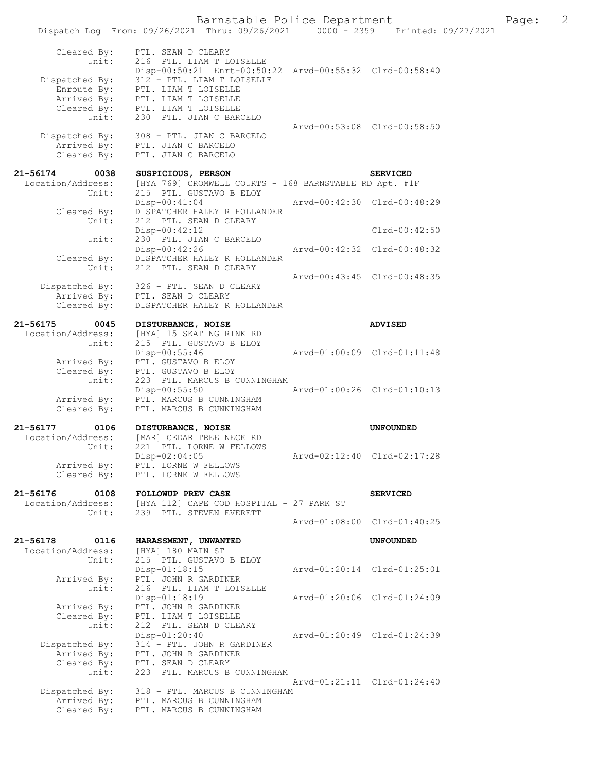|                               | Dispatch Log From: 09/26/2021 Thru: 09/26/2021 0000 - 2359 Printed: 09/27/2021        |                             |                             |  |
|-------------------------------|---------------------------------------------------------------------------------------|-----------------------------|-----------------------------|--|
| Cleared By:<br>Unit:          | PTL. SEAN D CLEARY<br>216 PTL. LIAM T LOISELLE                                        |                             |                             |  |
| Dispatched By:                | Disp-00:50:21 Enrt-00:50:22 Arvd-00:55:32 Clrd-00:58:40<br>312 - PTL. LIAM T LOISELLE |                             |                             |  |
| Enroute By:                   | PTL. LIAM T LOISELLE                                                                  |                             |                             |  |
|                               | Arrived By: PTL. LIAM T LOISELLE                                                      |                             |                             |  |
| Unit:                         | Cleared By: PTL. LIAM T LOISELLE<br>230 PTL. JIAN C BARCELO                           |                             |                             |  |
|                               |                                                                                       | Arvd-00:53:08 Clrd-00:58:50 |                             |  |
| Dispatched By:                | 308 - PTL. JIAN C BARCELO                                                             |                             |                             |  |
|                               | Arrived By: PTL. JIAN C BARCELO                                                       |                             |                             |  |
| Cleared By:                   | PTL. JIAN C BARCELO                                                                   |                             |                             |  |
| 21-56174<br>0038              | SUSPICIOUS, PERSON                                                                    |                             | <b>SERVICED</b>             |  |
| Location/Address:             | [HYA 769] CROMWELL COURTS - 168 BARNSTABLE RD Apt. #1F                                |                             |                             |  |
| Unit:                         | 215 PTL. GUSTAVO B ELOY                                                               |                             |                             |  |
| Cleared By:                   | $Disp-00:41:04$<br>DISPATCHER HALEY R HOLLANDER                                       | Arvd-00:42:30 Clrd-00:48:29 |                             |  |
| Unit:                         | 212 PTL. SEAN D CLEARY                                                                |                             |                             |  |
|                               | Disp-00:42:12                                                                         |                             | $Clrd-00:42:50$             |  |
| Unit:                         | 230 PTL. JIAN C BARCELO                                                               |                             |                             |  |
|                               | Disp-00:42:26                                                                         | Arvd-00:42:32 Clrd-00:48:32 |                             |  |
| Cleared By:                   | DISPATCHER HALEY R HOLLANDER                                                          |                             |                             |  |
| Unit:                         | 212 PTL. SEAN D CLEARY                                                                | Arvd-00:43:45 Clrd-00:48:35 |                             |  |
|                               | Dispatched By: 326 - PTL. SEAN D CLEARY                                               |                             |                             |  |
|                               | Arrived By: PTL. SEAN D CLEARY                                                        |                             |                             |  |
| Cleared By:                   | DISPATCHER HALEY R HOLLANDER                                                          |                             |                             |  |
| 21-56175<br>0045              | DISTURBANCE, NOISE                                                                    |                             | <b>ADVISED</b>              |  |
| Location/Address:             | [HYA] 15 SKATING RINK RD                                                              |                             |                             |  |
| Unit:                         | 215 PTL. GUSTAVO B ELOY                                                               |                             |                             |  |
|                               | $Disp-00:55:46$                                                                       | Arvd-01:00:09 Clrd-01:11:48 |                             |  |
| Arrived By:                   | PTL. GUSTAVO B ELOY                                                                   |                             |                             |  |
| Cleared By:                   | PTL. GUSTAVO B ELOY                                                                   |                             |                             |  |
| Unit:                         | 223 PTL. MARCUS B CUNNINGHAM<br>$Disp-00:55:50$                                       | Arvd-01:00:26 Clrd-01:10:13 |                             |  |
| Arrived By:                   | PTL. MARCUS B CUNNINGHAM                                                              |                             |                             |  |
| Cleared By:                   | PTL. MARCUS B CUNNINGHAM                                                              |                             |                             |  |
| 21-56177<br>0106              | DISTURBANCE, NOISE                                                                    |                             | <b>UNFOUNDED</b>            |  |
| Location/Address:             | [MAR] CEDAR TREE NECK RD                                                              |                             |                             |  |
| Unit:                         | 221 PTL. LORNE W FELLOWS                                                              |                             |                             |  |
|                               | Disp-02:04:05                                                                         |                             | Aryd-02:12:40 Clrd-02:17:28 |  |
| Arrived By:                   | PTL. LORNE W FELLOWS                                                                  |                             |                             |  |
| Cleared By:                   | PTL. LORNE W FELLOWS                                                                  |                             |                             |  |
| 21-56176<br>0108              | FOLLOWUP PREV CASE                                                                    |                             | <b>SERVICED</b>             |  |
| Location/Address:             | [HYA 112] CAPE COD HOSPITAL - 27 PARK ST                                              |                             |                             |  |
| Unit:                         | 239 PTL. STEVEN EVERETT                                                               |                             |                             |  |
|                               |                                                                                       |                             | Arvd-01:08:00 Clrd-01:40:25 |  |
| 21-56178<br>0116              | HARASSMENT, UNWANTED                                                                  |                             | <b>UNFOUNDED</b>            |  |
| Location/Address:             | [HYA] 180 MAIN ST                                                                     |                             |                             |  |
| Unit:                         | 215 PTL. GUSTAVO B ELOY<br>Disp-01:18:15                                              |                             | Arvd-01:20:14 Clrd-01:25:01 |  |
| Arrived By:                   | PTL. JOHN R GARDINER                                                                  |                             |                             |  |
| Unit:                         | 216 PTL. LIAM T LOISELLE                                                              |                             |                             |  |
|                               | Disp-01:18:19                                                                         |                             | Arvd-01:20:06 Clrd-01:24:09 |  |
| Arrived By:                   | PTL. JOHN R GARDINER                                                                  |                             |                             |  |
| Cleared By:                   | PTL. LIAM T LOISELLE                                                                  |                             |                             |  |
| Unit:                         | 212 PTL. SEAN D CLEARY                                                                |                             |                             |  |
| Dispatched By:                | Disp-01:20:40<br>314 - PTL. JOHN R GARDINER                                           | Arvd-01:20:49 Clrd-01:24:39 |                             |  |
| Arrived By:                   | PTL. JOHN R GARDINER                                                                  |                             |                             |  |
| Cleared By:                   | PTL. SEAN D CLEARY                                                                    |                             |                             |  |
|                               |                                                                                       |                             |                             |  |
| Unit:                         | 223 PTL. MARCUS B CUNNINGHAM                                                          |                             |                             |  |
|                               |                                                                                       | Arvd-01:21:11 Clrd-01:24:40 |                             |  |
| Dispatched By:<br>Arrived By: | 318 - PTL. MARCUS B CUNNINGHAM<br>PTL. MARCUS B CUNNINGHAM                            |                             |                             |  |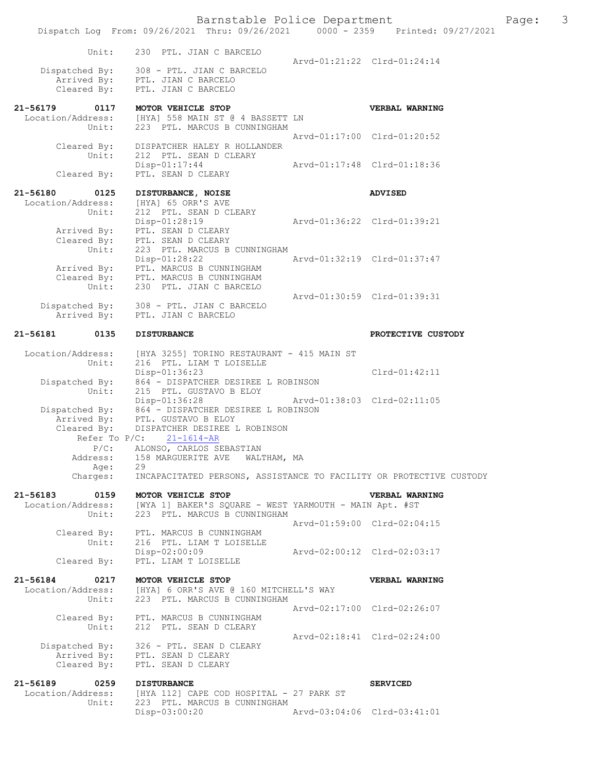|                  | Barnstable Police Department<br>Dispatch Log From: 09/26/2021 Thru: 09/26/2021 0000 - 2359 Printed: 09/27/2021 |                             |                             | Page: | 3 |
|------------------|----------------------------------------------------------------------------------------------------------------|-----------------------------|-----------------------------|-------|---|
| Unit:            | 230 PTL. JIAN C BARCELO                                                                                        | Aryd-01:21:22 Clrd-01:24:14 |                             |       |   |
| Dispatched By:   | 308 - PTL. JIAN C BARCELO                                                                                      |                             |                             |       |   |
|                  | Arrived By: PTL. JIAN C BARCELO                                                                                |                             |                             |       |   |
|                  | Cleared By: PTL. JIAN C BARCELO                                                                                |                             |                             |       |   |
| 21-56179<br>0117 | MOTOR VEHICLE STOP                                                                                             |                             | <b>VERBAL WARNING</b>       |       |   |
|                  | Location/Address: [HYA] 558 MAIN ST @ 4 BASSETT LN                                                             |                             |                             |       |   |
|                  |                                                                                                                |                             |                             |       |   |
| Unit:            | 223 PTL. MARCUS B CUNNINGHAM                                                                                   |                             |                             |       |   |
|                  |                                                                                                                |                             | Arvd-01:17:00 Clrd-01:20:52 |       |   |
| Cleared By:      | DISPATCHER HALEY R HOLLANDER                                                                                   |                             |                             |       |   |
| Unit:            | 212 PTL. SEAN D CLEARY                                                                                         |                             |                             |       |   |
|                  | $Disp-01:17:44$                                                                                                | Aryd-01:17:48 Clrd-01:18:36 |                             |       |   |
| Cleared By:      | PTL. SEAN D CLEARY                                                                                             |                             |                             |       |   |

| 21-56180<br>Location/Address: | 0125        |                 | DISTURBANCE, NOISE<br>[HYA] 65 ORR'S AVE |                             | <b>ADVISED</b> |
|-------------------------------|-------------|-----------------|------------------------------------------|-----------------------------|----------------|
|                               | Unit:       |                 | 212 PTL, SEAN D CLEARY                   |                             |                |
|                               |             | $Disp-01:28:19$ |                                          | Arvd-01:36:22 Clrd-01:39:21 |                |
|                               | Arrived By: |                 | PTL. SEAN D CLEARY                       |                             |                |
|                               | Cleared By: |                 | PTL. SEAN D CLEARY                       |                             |                |
|                               | Unit:       |                 | 223 PTL. MARCUS B CUNNINGHAM             |                             |                |
|                               |             | $Disp-01:28:22$ |                                          | Aryd-01:32:19 Clrd-01:37:47 |                |
|                               | Arrived By: |                 | PTL. MARCUS B CUNNINGHAM                 |                             |                |
|                               | Cleared By: |                 | PTL. MARCUS B CUNNINGHAM                 |                             |                |
|                               | Unit:       |                 | 230 PTL. JIAN C BARCELO                  |                             |                |
|                               |             |                 |                                          | Arvd-01:30:59 Clrd-01:39:31 |                |
| Dispatched By:                |             |                 | 308 - PTL. JIAN C BARCELO                |                             |                |

Arrived By: PTL. JIAN C BARCELO

### **21-56181 0135 DISTURBANCE PROTECTIVE CUSTODY**

Location/Address: [HYA 3255] TORINO RESTAURANT - 415 MAIN ST<br>Unit: 216 PTL. LIAM T LOISELLE 216 PTL. LIAM T LOISELLE Disp-01:36:23 Clrd-01:42:11 Dispatched By: 864 - DISPATCHER DESIREE L ROBINSON Unit: 215 PTL. GUSTAVO B ELOY Disp-01:36:28 Arvd-01:38:03 Clrd-02:11:05<br>Dispatched By: 864 - DISPATCHER DESIREE L ROBINSON Dispatched By: 864 - DISPATCHER DESIREE L ROBINSON Arrived By: PTL. GUSTAVO B ELOY Cleared By: DISPATCHER DESIREE L ROBINSON Refer To  $P/C$ :  $21-1614-AR$  P/C: ALONSO, CARLOS SEBASTIAN 158 MARGUERITE AVE WALTHAM, MA<br>29 Address:<br>Age:<br>Charges:

INCAPACITATED PERSONS, ASSISTANCE TO FACILITY OR PROTECTIVE CUSTODY

## **21-56183 0159 MOTOR VEHICLE STOP VERBAL WARNING**  Location/Address: [WYA 1] BAKER'S SQUARE - WEST YARMOUTH - MAIN Apt. #ST<br>Unit: 223 PTL. MARCUS B CUNNINGHAM 223 PTL. MARCUS B CUNNINGHAM Arvd-01:59:00 Clrd-02:04:15 Cleared By: PTL. MARCUS B CUNNINGHAM Unit: 216 PTL. LIAM T LOISELLE<br>Disp-02:00:09

Disp-02:00:09 Arvd-02:00:12 Clrd-02:03:17<br>Cleared By: PTL. LIAM T LOISELLE PTL. LIAM T LOISELLE **21-56184 0217 MOTOR VEHICLE STOP VERBAL WARNING**  Location/Address: [HYA] 6 ORR'S AVE @ 160 MITCHELL'S WAY Unit: 223 PTL. MARCUS B CUNNINGHAM Arvd-02:17:00 Clrd-02:26:07 Cleared By: PTL. MARCUS B CUNNINGHAM Unit: 212 PTL. SEAN D CLEARY Arvd-02:18:41 Clrd-02:24:00 Dispatched By: 326 - PTL. SEAN D CLEARY Arrived By: PTL. SEAN D CLEARY<br>Cleared By: PTL. SEAN D CLEARY PTL. SEAN D CLEARY

#### **21-56189 0259 DISTURBANCE SERVICED**  Location/Address: [HYA 112] CAPE COD HOSPITAL - 27 PARK ST Unit: 223 PTL. MARCUS B CUNNINGHAM Disp-03:00:20 Arvd-03:04:06 Clrd-03:41:01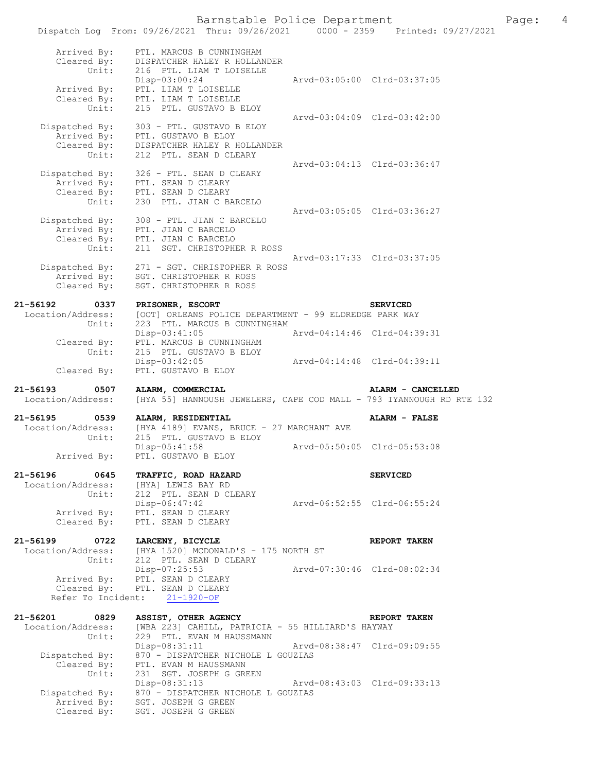# Barnstable Police Department Page: 4

|                                                       |                                                                                                                        |                             | Dispatch Log From: 09/26/2021 Thru: 09/26/2021 0000 - 2359 Printed: 09/27/2021 |
|-------------------------------------------------------|------------------------------------------------------------------------------------------------------------------------|-----------------------------|--------------------------------------------------------------------------------|
| Arrived By:                                           | PTL. MARCUS B CUNNINGHAM                                                                                               |                             |                                                                                |
| Cleared By:                                           | DISPATCHER HALEY R HOLLANDER                                                                                           |                             |                                                                                |
| Unit:                                                 | 216 PTL. LIAM T LOISELLE                                                                                               |                             |                                                                                |
|                                                       | Disp-03:00:24                                                                                                          |                             | Arvd-03:05:00 Clrd-03:37:05                                                    |
| Arrived By:                                           | PTL. LIAM T LOISELLE<br>Cleared By: PTL. LIAM T LOISELLE                                                               |                             |                                                                                |
| Unit:                                                 | 215 PTL. GUSTAVO B ELOY                                                                                                |                             |                                                                                |
|                                                       |                                                                                                                        |                             | Arvd-03:04:09 Clrd-03:42:00                                                    |
| Dispatched By:                                        | 303 - PTL. GUSTAVO B ELOY                                                                                              |                             |                                                                                |
| Arrived By:                                           | PTL. GUSTAVO B ELOY<br>DISPATCHER HALEY R HOLLANDER                                                                    |                             |                                                                                |
| Cleared By:<br>Unit:                                  | 212 PTL. SEAN D CLEARY                                                                                                 |                             |                                                                                |
|                                                       |                                                                                                                        |                             | Arvd-03:04:13 Clrd-03:36:47                                                    |
|                                                       | Dispatched By: $326 - PTL$ . SEAN D CLEARY                                                                             |                             |                                                                                |
| Arrived By:                                           | PTL. SEAN D CLEARY                                                                                                     |                             |                                                                                |
| Unit:                                                 | Cleared By: PTL. SEAN D CLEARY<br>230 PTL. JIAN C BARCELO                                                              |                             |                                                                                |
|                                                       |                                                                                                                        |                             | Arvd-03:05:05 Clrd-03:36:27                                                    |
|                                                       | Dispatched By: $308 - PTL \cdot JLRN \cup LR$<br>Arrived By: $PTL \cdot JIAN \cup RRCELO$<br>308 - PTL. JIAN C BARCELO |                             |                                                                                |
|                                                       |                                                                                                                        |                             |                                                                                |
|                                                       | Cleared By: PTL. JIAN C BARCELO                                                                                        |                             |                                                                                |
| Unit:                                                 | 211 SGT. CHRISTOPHER R ROSS                                                                                            |                             | Arvd-03:17:33 Clrd-03:37:05                                                    |
| Dispatched By:<br>Arrived By:                         | 271 - SGT. CHRISTOPHER R ROSS                                                                                          |                             |                                                                                |
| Arrived By:                                           | SGT. CHRISTOPHER R ROSS                                                                                                |                             |                                                                                |
| Cleared By:                                           | SGT. CHRISTOPHER R ROSS                                                                                                |                             |                                                                                |
| 21-56192<br>0337                                      | PRISONER, ESCORT                                                                                                       |                             | <b>SERVICED</b>                                                                |
| Location/Address:                                     | [OOT] ORLEANS POLICE DEPARTMENT - 99 ELDREDGE PARK WAY                                                                 |                             |                                                                                |
| Unit:                                                 | 223 PTL. MARCUS B CUNNINGHAM                                                                                           |                             |                                                                                |
|                                                       | Disp-03:41:05                                                                                                          |                             | Arvd-04:14:46 Clrd-04:39:31                                                    |
| Cleared By:<br>Unit:                                  | PTL. MARCUS B CUNNINGHAM<br>215 PTL. GUSTAVO B ELOY                                                                    |                             |                                                                                |
|                                                       | $Disp-03:42:05$                                                                                                        |                             | Arvd-04:14:48 Clrd-04:39:11                                                    |
| Cleared By:                                           | PTL. GUSTAVO B ELOY                                                                                                    |                             |                                                                                |
|                                                       |                                                                                                                        |                             |                                                                                |
|                                                       |                                                                                                                        |                             |                                                                                |
| 21-56193<br>0507<br>Location/Address:                 | ALARM, COMMERCIAL                                                                                                      |                             | ALARM - CANCELLED                                                              |
|                                                       | [HYA 55] HANNOUSH JEWELERS, CAPE COD MALL - 793 IYANNOUGH RD RTE 132                                                   |                             |                                                                                |
| 0539                                                  | ALARM, RESIDENTIAL                                                                                                     |                             | ALARM - FALSE                                                                  |
| Location/Address:                                     | [HYA 4189] EVANS, BRUCE - 27 MARCHANT AVE                                                                              |                             |                                                                                |
| Unit:                                                 | 215 PTL. GUSTAVO B ELOY                                                                                                |                             | Arvd-05:50:05 Clrd-05:53:08                                                    |
| 21-56195<br>Arrived By:                               | $Disp-05:41:58$<br>PTL. GUSTAVO B ELOY                                                                                 |                             |                                                                                |
|                                                       |                                                                                                                        |                             |                                                                                |
| 0645                                                  | TRAFFIC, ROAD HAZARD                                                                                                   |                             | <b>SERVICED</b>                                                                |
| Location/Address:                                     | [HYA] LEWIS BAY RD                                                                                                     |                             |                                                                                |
| Unit:                                                 | 212 PTL. SEAN D CLEARY<br>$Disp-06:47:42$                                                                              | Aryd-06:52:55 Clrd-06:55:24 |                                                                                |
| 21-56196<br>Arrived By:                               | PTL. SEAN D CLEARY                                                                                                     |                             |                                                                                |
| Cleared By:                                           | PTL. SEAN D CLEARY                                                                                                     |                             |                                                                                |
|                                                       |                                                                                                                        |                             |                                                                                |
| 0722<br>Location/Address:                             | LARCENY, BICYCLE                                                                                                       |                             | REPORT TAKEN                                                                   |
| Unit:                                                 | [HYA 1520] MCDONALD'S - 175 NORTH ST<br>212 PTL. SEAN D CLEARY                                                         |                             |                                                                                |
|                                                       | Disp-07:25:53                                                                                                          |                             | Arvd-07:30:46 Clrd-08:02:34                                                    |
| Arrived By:                                           | PTL. SEAN D CLEARY                                                                                                     |                             |                                                                                |
| Cleared By:                                           | PTL. SEAN D CLEARY<br>Refer To Incident: 21-1920-OF                                                                    |                             |                                                                                |
|                                                       |                                                                                                                        |                             |                                                                                |
| 0829                                                  | ASSIST, OTHER AGENCY                                                                                                   |                             | REPORT TAKEN                                                                   |
| Location/Address:                                     | [WBA 223] CAHILL, PATRICIA - 55 HILLIARD'S HAYWAY                                                                      |                             |                                                                                |
| Unit:                                                 | 229 PTL. EVAN M HAUSSMANN                                                                                              |                             | Arvd-08:38:47 Clrd-09:09:55                                                    |
| Dispatched By:                                        | $Disp-08:31:11$<br>870 - DISPATCHER NICHOLE L GOUZIAS                                                                  |                             |                                                                                |
| Cleared By:                                           | PTL. EVAN M HAUSSMANN                                                                                                  |                             |                                                                                |
| Unit:                                                 | 231 SGT. JOSEPH G GREEN                                                                                                |                             |                                                                                |
|                                                       | Disp-08:31:13                                                                                                          |                             | Arvd-08:43:03 Clrd-09:33:13                                                    |
| 21-56199<br>21-56201<br>Dispatched By:<br>Arrived By: | 870 - DISPATCHER NICHOLE L GOUZIAS<br>SGT. JOSEPH G GREEN                                                              |                             |                                                                                |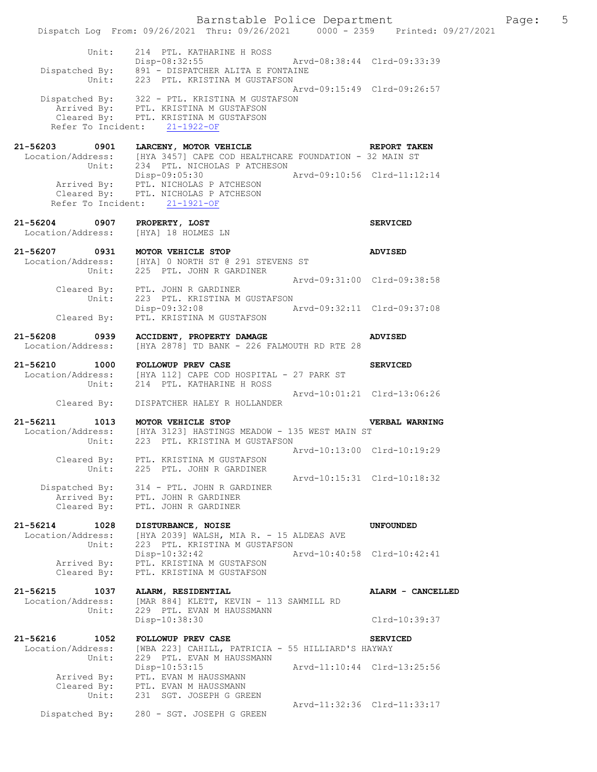|                                                | Barnstable Police Department<br>Dispatch Log From: 09/26/2021 Thru: 09/26/2021 0000 - 2359 Printed: 09/27/2021                                                                                                                                                   |                             |                                  | Page: | $5\overline{)}$ |
|------------------------------------------------|------------------------------------------------------------------------------------------------------------------------------------------------------------------------------------------------------------------------------------------------------------------|-----------------------------|----------------------------------|-------|-----------------|
|                                                | Unit: 214 PTL. KATHARINE H ROSS<br>Disp-08:32:55 Arvd-08:38:44 Clrd-09:33:39<br>Dispatched By: 891 - DISPATCHER ALITA E FONTAINE<br>Unit: 223 PTL. KRISTINA M GUSTAFSON                                                                                          |                             |                                  |       |                 |
|                                                | Dispatched By: 322 - PTL. KRISTINA M GUSTAFSON<br>Arrived By: PTL. KRISTINA M GUSTAFSON<br>Cleared By: PTL. KRISTINA M GUSTAFSON<br>Refer To Incident: 21-1922-OF                                                                                                | Arvd-09:15:49 Clrd-09:26:57 |                                  |       |                 |
|                                                | 21-56203 0901 LARCENY, MOTOR VEHICLE CHARGES REPORT TAKEN<br>Location/Address: [HYA 3457] CAPE COD HEALTHCARE FOUNDATION - 32 MAIN ST<br>Unit: 234 PTL. NICHOLAS P ATCHESON<br>Disp-09:05:30 Arvd-09:10:56 Clrd-11:12:14<br>Arrived By: PTL. NICHOLAS P ATCHESON |                             |                                  |       |                 |
| 21-56204 0907 PROPERTY, LOST                   | Cleared By: PTL. NICHOLAS P ATCHESON<br>Refer To Incident: 21-1921-OF                                                                                                                                                                                            |                             | <b>SERVICED</b>                  |       |                 |
| Location/Address: [HYA] 18 HOLMES LN           |                                                                                                                                                                                                                                                                  |                             |                                  |       |                 |
| 21-56207 0931 MOTOR VEHICLE STOP               | Location/Address: [HYA] 0 NORTH ST @ 291 STEVENS ST<br>Unit: 225 PTL. JOHN R GARDINER                                                                                                                                                                            |                             | <b>ADVISED</b>                   |       |                 |
| Unit:                                          | Cleared By: PTL. JOHN R GARDINER<br>223 PTL. KRISTINA M GUSTAFSON                                                                                                                                                                                                | Arvd-09:31:00 Clrd-09:38:58 |                                  |       |                 |
|                                                | Disp-09:32:08 Arvd-09:32:11 Clrd-09:37:08<br>Cleared By: PTL. KRISTINA M GUSTAFSON                                                                                                                                                                               |                             |                                  |       |                 |
| 21-56208<br>0939                               | <b>ACCIDENT, PROPERTY DAMAGE</b><br>Location/Address: [HYA 2878] TD BANK - 226 FALMOUTH RD RTE 28                                                                                                                                                                |                             | <b>ADVISED</b>                   |       |                 |
|                                                | 21-56210 1000 FOLLOWUP PREV CASE<br>Location/Address: [HYA 112] CAPE COD HOSPITAL - 27 PARK ST<br>Unit: 214 PTL. KATHARINE H ROSS                                                                                                                                |                             | <b>SERVICED</b>                  |       |                 |
| Cleared By:                                    | DISPATCHER HALEY R HOLLANDER                                                                                                                                                                                                                                     | Arvd-10:01:21 Clrd-13:06:26 |                                  |       |                 |
| 21-56211 1013 MOTOR VEHICLE STOP               | Location/Address: [HYA 3123] HASTINGS MEADOW - 135 WEST MAIN ST<br>Unit: 223 PTL. KRISTINA M GUSTAFSON                                                                                                                                                           |                             | VERBAL WARNING                   |       |                 |
| Cleared By:<br>Unit:                           | PTL. KRISTINA M GUSTAFSON<br>225 PTL. JOHN R GARDINER                                                                                                                                                                                                            | Arvd-10:13:00 Clrd-10:19:29 |                                  |       |                 |
| Dispatched By:<br>Cleared By:                  | 314 - PTL. JOHN R GARDINER<br>Arrived By: PTL. JOHN R GARDINER<br>PTL. JOHN R GARDINER                                                                                                                                                                           | Arvd-10:15:31 Clrd-10:18:32 |                                  |       |                 |
| 21-56214 1028<br>Location/Address:<br>Unit:    | DISTURBANCE, NOISE<br>[HYA 2039] WALSH, MIA R. - 15 ALDEAS AVE<br>223 PTL. KRISTINA M GUSTAFSON                                                                                                                                                                  |                             | <b>UNFOUNDED</b>                 |       |                 |
| Arrived By:<br>Cleared By:                     | Disp-10:32:42<br>PTL. KRISTINA M GUSTAFSON<br>PTL. KRISTINA M GUSTAFSON                                                                                                                                                                                          | Arvd-10:40:58 Clrd-10:42:41 |                                  |       |                 |
| 21-56215<br>1037<br>Location/Address:<br>Unit: | ALARM, RESIDENTIAL<br>[MAR 884] KLETT, KEVIN - 113 SAWMILL RD<br>229 PTL. EVAN M HAUSSMANN                                                                                                                                                                       |                             | ALARM - CANCELLED                |       |                 |
| 21-56216<br>1052                               | Disp-10:38:30<br>FOLLOWUP PREV CASE                                                                                                                                                                                                                              |                             | Clrd-10:39:37<br><b>SERVICED</b> |       |                 |
| Location/Address:<br>Unit:                     | [WBA 223] CAHILL, PATRICIA - 55 HILLIARD'S HAYWAY<br>229 PTL. EVAN M HAUSSMANN                                                                                                                                                                                   |                             |                                  |       |                 |
| Arrived By:<br>Unit:                           | Disp-10:53:15<br>PTL. EVAN M HAUSSMANN<br>Cleared By: PTL. EVAN M HAUSSMANN<br>231 SGT. JOSEPH G GREEN                                                                                                                                                           | Arvd-11:10:44 Clrd-13:25:56 |                                  |       |                 |
| Dispatched By:                                 | 280 - SGT. JOSEPH G GREEN                                                                                                                                                                                                                                        | Arvd-11:32:36 Clrd-11:33:17 |                                  |       |                 |
|                                                |                                                                                                                                                                                                                                                                  |                             |                                  |       |                 |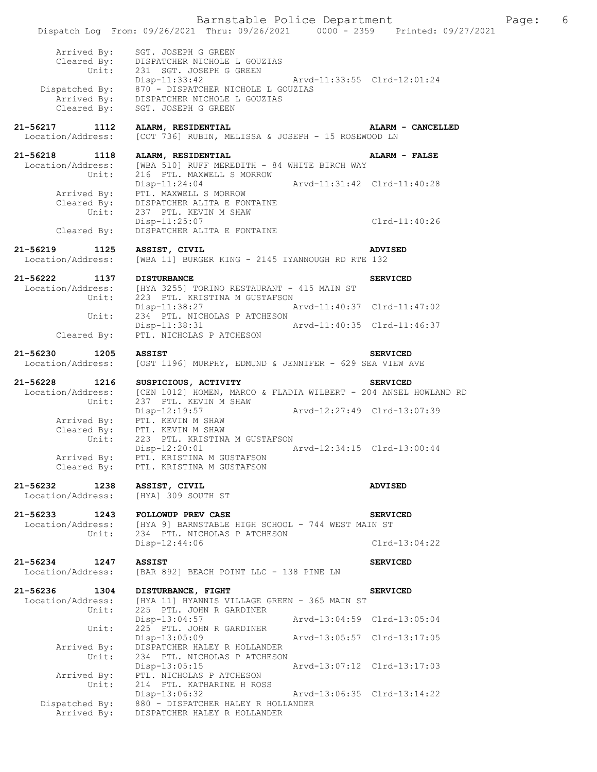|                                                | Barnstable Police Department<br>Dispatch Log From: 09/26/2021 Thru: 09/26/2021 0000 - 2359 Printed: 09/27/2021                          |                             |                             | Page: | 6 |
|------------------------------------------------|-----------------------------------------------------------------------------------------------------------------------------------------|-----------------------------|-----------------------------|-------|---|
| Arrived By:<br>Unit:                           | SGT. JOSEPH G GREEN<br>Cleared By: DISPATCHER NICHOLE L GOUZIAS<br>231 SGT. JOSEPH G GREEN                                              |                             |                             |       |   |
| Cleared By:                                    | Disp-11:33:42<br>Dispatched By: $870 -$ DISPATCHER NICHOLE L GOUZIAS<br>Arrived By: DISPATCHER NICHOLE L GOUZIAS<br>SGT. JOSEPH G GREEN | Arvd-11:33:55 Clrd-12:01:24 |                             |       |   |
| 21-56217<br>1112<br>Location/Address:          | ALARM, RESIDENTIAL<br>[COT 736] RUBIN, MELISSA & JOSEPH - 15 ROSEWOOD LN                                                                |                             | ALARM - CANCELLED           |       |   |
| 21-56218<br>1118<br>Location/Address:<br>Unit: | ALARM, RESIDENTIAL<br>[WBA 510] RUFF MEREDITH - 84 WHITE BIRCH WAY<br>216 PTL. MAXWELL S MORROW                                         |                             | ALARM - FALSE               |       |   |
| Arrived By:<br>Unit:                           | $Disp-11:24:04$<br>PTL. MAXWELL S MORROW<br>Cleared By: DISPATCHER ALITA E FONTAINE<br>237 PTL. KEVIN M SHAW                            | Arvd-11:31:42 Clrd-11:40:28 |                             |       |   |
| Cleared By:                                    | $Disp-11:25:07$<br>DISPATCHER ALITA E FONTAINE                                                                                          |                             | Clrd-11:40:26               |       |   |
| 21-56219<br>1125<br>Location/Address:          | ASSIST, CIVIL<br>[WBA 11] BURGER KING - 2145 IYANNOUGH RD RTE 132                                                                       |                             | <b>ADVISED</b>              |       |   |
| 21-56222<br>1137                               | <b>DISTURBANCE</b>                                                                                                                      |                             | <b>SERVICED</b>             |       |   |
|                                                | Location/Address: [HYA 3255] TORINO RESTAURANT - 415 MAIN ST Unit: 223 PTL. KRISTINA M GUSTAFSON<br>223 PTL. KRISTINA M GUSTAFSON       |                             |                             |       |   |
| Unit:                                          | Disp-11:38:27 Arvd-11:40:37 Clrd-11:47:02<br>234 PTL. NICHOLAS P ATCHESON<br>Disp-11:38:31                                              | Arvd-11:40:35 Clrd-11:46:37 |                             |       |   |
| Cleared By:                                    | PTL. NICHOLAS P ATCHESON                                                                                                                |                             |                             |       |   |
| 21-56230<br>1205<br>Location/Address:          | <b>ASSIST</b><br>[OST 1196] MURPHY, EDMUND & JENNIFER - 629 SEA VIEW AVE                                                                |                             | <b>SERVICED</b>             |       |   |
| 21-56228<br>1216<br>Unit:                      | SUSPICIOUS, ACTIVITY<br>Location/Address: [CEN 1012] HOMEN, MARCO & FLADIA WILBERT - 204 ANSEL HOWLAND RD<br>237 PTL. KEVIN M SHAW      |                             | <b>SERVICED</b>             |       |   |
|                                                | Disp-12:19:57<br>Arrived By: PTL. KEVIN M SHAW<br>Cleared By: PTL. KEVIN M SHAW                                                         | Arvd-12:27:49 Clrd-13:07:39 |                             |       |   |
| Unit:<br>Arrived By:<br>Cleared By:            | 223 PTL. KRISTINA M GUSTAFSON<br>Disp-12:20:01<br>PTL. KRISTINA M GUSTAFSON<br>PTL. KRISTINA M GUSTAFSON                                | Arvd-12:34:15 Clrd-13:00:44 |                             |       |   |
| 21-56232<br>1238<br>Location/Address:          | ASSIST, CIVIL<br>[HYA] 309 SOUTH ST                                                                                                     |                             | <b>ADVISED</b>              |       |   |
| 21-56233 1243                                  | FOLLOWUP PREV CASE                                                                                                                      |                             | <b>SERVICED</b>             |       |   |
| Location/Address:                              | [HYA 9] BARNSTABLE HIGH SCHOOL - 744 WEST MAIN ST                                                                                       |                             |                             |       |   |
| Unit:                                          | 234 PTL. NICHOLAS P ATCHESON<br>Disp-12:44:06                                                                                           |                             | $Clrd-13:04:22$             |       |   |
| 21-56234 1247<br>Location/Address:             | <b>ASSIST</b><br>[BAR 892] BEACH POINT LLC - 138 PINE LN                                                                                |                             | <b>SERVICED</b>             |       |   |
| 21-56236<br>1304                               | DISTURBANCE, FIGHT                                                                                                                      |                             | <b>SERVICED</b>             |       |   |
| Location/Address:                              | [HYA 11] HYANNIS VILLAGE GREEN - 365 MAIN ST                                                                                            |                             |                             |       |   |
| Unit:                                          | 225 PTL. JOHN R GARDINER<br>Disp-13:04:57                                                                                               | Arvd-13:04:59 Clrd-13:05:04 |                             |       |   |
| Unit:                                          | 225 PTL. JOHN R GARDINER                                                                                                                |                             |                             |       |   |
| Arrived By:                                    | $Disp-13:05:09$<br>DISPATCHER HALEY R HOLLANDER                                                                                         |                             | Arvd-13:05:57 Clrd-13:17:05 |       |   |
| Unit:                                          | 234 PTL. NICHOLAS P ATCHESON                                                                                                            |                             |                             |       |   |
|                                                | Disp-13:05:15                                                                                                                           |                             | Arvd-13:07:12 Clrd-13:17:03 |       |   |
| Arrived By:<br>Unit:                           | PTL. NICHOLAS P ATCHESON<br>214 PTL. KATHARINE H ROSS                                                                                   |                             |                             |       |   |
|                                                | Disp-13:06:32                                                                                                                           | Arvd-13:06:35 Clrd-13:14:22 |                             |       |   |
| Dispatched By:<br>Arrived By:                  | 880 - DISPATCHER HALEY R HOLLANDER<br>DISPATCHER HALEY R HOLLANDER                                                                      |                             |                             |       |   |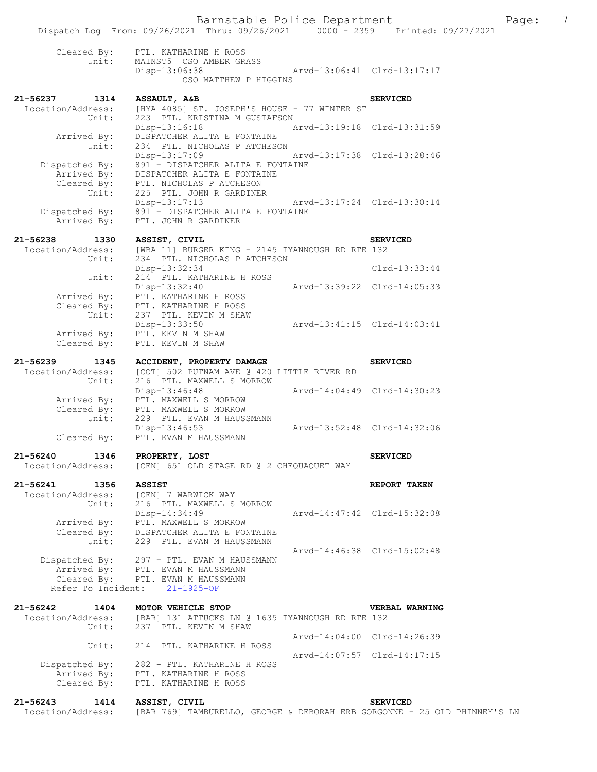# Barnstable Police Department Fage: 7

|              |                            | Dispatch Log From: 09/26/2021 Thru: 09/26/2021                              |                       |                             | 0000 - 2359 Printed: 09/27/2021 |  |
|--------------|----------------------------|-----------------------------------------------------------------------------|-----------------------|-----------------------------|---------------------------------|--|
|              |                            | Cleared By: PTL. KATHARINE H ROSS                                           |                       |                             |                                 |  |
|              | Unit:                      | MAINST5 CSO AMBER GRASS                                                     |                       |                             |                                 |  |
|              |                            | Disp-13:06:38                                                               | CSO MATTHEW P HIGGINS | Arvd-13:06:41 Clrd-13:17:17 |                                 |  |
|              | 21-56237 1314              | ASSAULT, A&B                                                                |                       |                             | <b>SERVICED</b>                 |  |
|              | Location/Address:          | [HYA 4085] ST. JOSEPH'S HOUSE - 77 WINTER ST                                |                       |                             |                                 |  |
|              | Unit:                      | 223 PTL. KRISTINA M GUSTAFSON<br>Disp-13:16:18                              |                       | Arvd-13:19:18 Clrd-13:31:59 |                                 |  |
|              | Arrived By:                | DISPATCHER ALITA E FONTAINE                                                 |                       |                             |                                 |  |
|              | Unit:                      | 234 PTL. NICHOLAS P ATCHESON                                                |                       |                             |                                 |  |
|              |                            | Disp-13:17:09<br>Dispatched By: 891 - DISPATCHER ALITA E FONTAINE           |                       | Arvd-13:17:38 Clrd-13:28:46 |                                 |  |
|              | Arrived By:                | DISPATCHER ALITA E FONTAINE                                                 |                       |                             |                                 |  |
|              | Cleared By:                | PTL. NICHOLAS P ATCHESON                                                    |                       |                             |                                 |  |
|              | Unit:                      | 225 PTL. JOHN R GARDINER                                                    |                       |                             |                                 |  |
|              |                            | Disp-13:17:13<br>Dispatched By: $891 - \text{DISPARTCHER ALITA}$ E FONTAINE |                       | Arvd-13:17:24 Clrd-13:30:14 |                                 |  |
|              | Arrived By:                | PTL. JOHN R GARDINER                                                        |                       |                             |                                 |  |
|              |                            |                                                                             |                       |                             |                                 |  |
| 21-56238     | 1330<br>Location/Address:  | ASSIST, CIVIL<br>[WBA 11] BURGER KING - 2145 IYANNOUGH RD RTE 132           |                       |                             | <b>SERVICED</b>                 |  |
|              | Unit:                      | 234 PTL. NICHOLAS P ATCHESON                                                |                       |                             |                                 |  |
|              |                            | Disp-13:32:34                                                               |                       |                             | $Clrd-13:33:44$                 |  |
|              | Unit:                      | 214 PTL. KATHARINE H ROSS<br>Disp-13:32:40                                  |                       | Arvd-13:39:22 Clrd-14:05:33 |                                 |  |
|              | Arrived By:                | PTL. KATHARINE H ROSS                                                       |                       |                             |                                 |  |
|              | Cleared By:                | PTL. KATHARINE H ROSS                                                       |                       |                             |                                 |  |
|              | Unit:                      | 237 PTL. KEVIN M SHAW<br>Disp-13:33:50                                      |                       | Arvd-13:41:15 Clrd-14:03:41 |                                 |  |
|              | Arrived By:                | PTL. KEVIN M SHAW                                                           |                       |                             |                                 |  |
|              | Cleared By:                | PTL. KEVIN M SHAW                                                           |                       |                             |                                 |  |
| 21-56239     | 1345                       | ACCIDENT, PROPERTY DAMAGE                                                   |                       |                             | <b>SERVICED</b>                 |  |
|              | Location/Address:          | [COT] 502 PUTNAM AVE @ 420 LITTLE RIVER RD                                  |                       |                             |                                 |  |
|              | Unit:                      | 216 PTL. MAXWELL S MORROW                                                   |                       | Arvd-14:04:49 Clrd-14:30:23 |                                 |  |
|              |                            | Disp-13:46:48<br>Arrived By: PTL. MAXWELL S MORROW                          |                       |                             |                                 |  |
|              |                            | Cleared By: PTL. MAXWELL S MORROW                                           |                       |                             |                                 |  |
|              | Unit:                      | 229 PTL. EVAN M HAUSSMANN<br>Disp-13:46:53                                  |                       | Arvd-13:52:48 Clrd-14:32:06 |                                 |  |
|              | Cleared By:                | PTL. EVAN M HAUSSMANN                                                       |                       |                             |                                 |  |
|              |                            |                                                                             |                       |                             |                                 |  |
| $21 - 56240$ | 1346<br>Location/Address:  | PROPERTY, LOST<br>[CEN] 651 OLD STAGE RD @ 2 CHEQUAQUET WAY                 |                       |                             | <b>SERVICED</b>                 |  |
|              |                            |                                                                             |                       |                             |                                 |  |
| 21-56241     | 1356                       | <b>ASSIST</b>                                                               |                       |                             | REPORT TAKEN                    |  |
|              | Location/Address:<br>Unit: | [CEN] 7 WARWICK WAY<br>216 PTL. MAXWELL S MORROW                            |                       |                             |                                 |  |
|              |                            | Disp-14:34:49                                                               |                       | Arvd-14:47:42 Clrd-15:32:08 |                                 |  |
|              |                            | Arrived By: PTL. MAXWELL S MORROW                                           |                       |                             |                                 |  |
|              | Cleared By:<br>Unit:       | DISPATCHER ALITA E FONTAINE<br>229 PTL. EVAN M HAUSSMANN                    |                       |                             |                                 |  |
|              |                            |                                                                             |                       | Aryd-14:46:38 Clrd-15:02:48 |                                 |  |
|              | Dispatched By:             | 297 - PTL. EVAN M HAUSSMANN                                                 |                       |                             |                                 |  |
|              |                            | Arrived By: PTL. EVAN M HAUSSMANN<br>Cleared By: PTL. EVAN M HAUSSMANN      |                       |                             |                                 |  |
|              | Refer To Incident:         | $21 - 1925 - OF$                                                            |                       |                             |                                 |  |
|              |                            |                                                                             |                       |                             |                                 |  |
| $21 - 56242$ | 1404<br>Location/Address:  | MOTOR VEHICLE STOP<br>[BAR] 131 ATTUCKS LN @ 1635 IYANNOUGH RD RTE 132      |                       |                             | VERBAL WARNING                  |  |
|              | Unit:                      | 237 PTL. KEVIN M SHAW                                                       |                       |                             |                                 |  |
|              |                            |                                                                             |                       | Arvd-14:04:00 Clrd-14:26:39 |                                 |  |
|              | Unit:                      | 214 PTL. KATHARINE H ROSS                                                   |                       | Arvd-14:07:57 Clrd-14:17:15 |                                 |  |
|              | Dispatched By:             | 282 - PTL. KATHARINE H ROSS                                                 |                       |                             |                                 |  |
|              | Arrived By:                | PTL. KATHARINE H ROSS                                                       |                       |                             |                                 |  |
|              | Cleared By:                | PTL. KATHARINE H ROSS                                                       |                       |                             |                                 |  |
| 21-56243     | 1414                       | ASSIST, CIVIL                                                               |                       |                             | <b>SERVICED</b>                 |  |

Location/Address: [BAR 769] TAMBURELLO, GEORGE & DEBORAH ERB GORGONNE - 25 OLD PHINNEY'S LN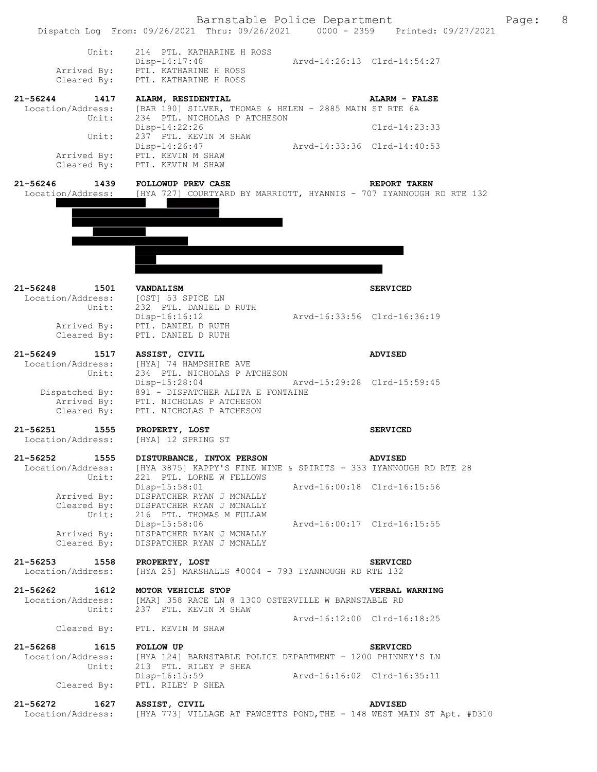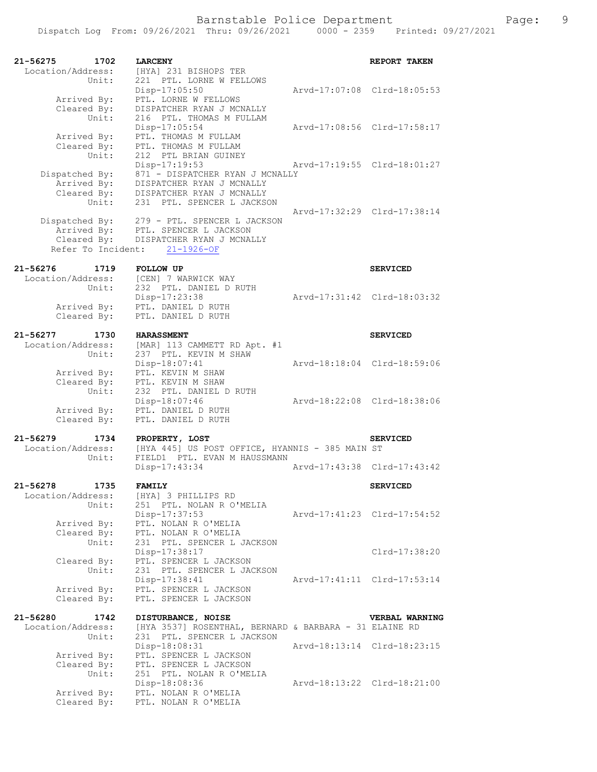| 21-56275<br>1702<br>Location/Address:                    | <b>LARCENY</b><br>[HYA] 231 BISHOPS TER                                                                                 |                             | REPORT TAKEN                |
|----------------------------------------------------------|-------------------------------------------------------------------------------------------------------------------------|-----------------------------|-----------------------------|
| Unit:<br>Arrived By:                                     | 221 PTL. LORNE W FELLOWS<br>Disp-17:05:50<br>PTL. LORNE W FELLOWS                                                       |                             | Arvd-17:07:08 Clrd-18:05:53 |
| Cleared By:<br>Unit:<br>Arrived By:                      | DISPATCHER RYAN J MCNALLY<br>216 PTL. THOMAS M FULLAM<br>Disp-17:05:54<br>PTL. THOMAS M FULLAM                          |                             | Arvd-17:08:56 Clrd-17:58:17 |
| Cleared By:<br>Unit:                                     | PTL. THOMAS M FULLAM<br>212 PTL BRIAN GUINEY<br>Disp-17:19:53                                                           | Arvd-17:19:55 Clrd-18:01:27 |                             |
| Dispatched By:<br>Arrived By:<br>Cleared By:<br>Unit:    | 871 - DISPATCHER RYAN J MCNALLY<br>DISPATCHER RYAN J MCNALLY<br>DISPATCHER RYAN J MCNALLY<br>231 PTL. SPENCER L JACKSON |                             |                             |
| Dispatched By:<br>Arrived By:<br>Cleared By:             | 279 - PTL. SPENCER L JACKSON<br>PTL. SPENCER L JACKSON<br>DISPATCHER RYAN J MCNALLY<br>Refer To Incident: 21-1926-OF    | Arvd-17:32:29 Clrd-17:38:14 |                             |
| 21-56276<br>1719                                         | <b>FOLLOW UP</b>                                                                                                        |                             | <b>SERVICED</b>             |
| Location/Address:<br>Unit:<br>Arrived By:<br>Cleared By: | [CEN] 7 WARWICK WAY<br>232 PTL. DANIEL D RUTH<br>Disp-17:23:38<br>PTL. DANIEL D RUTH<br>PTL. DANIEL D RUTH              | Arvd-17:31:42 Clrd-18:03:32 |                             |
| $21 - 56277$<br>1730                                     | <b>HARASSMENT</b>                                                                                                       |                             | <b>SERVICED</b>             |
| Location/Address:                                        | [MAR] 113 CAMMETT RD Apt. #1                                                                                            |                             |                             |
| Unit:<br>Arrived By:<br>Cleared By:                      | 237 PTL. KEVIN M SHAW<br>Disp-18:07:41<br>PTL. KEVIN M SHAW<br>PTL. KEVIN M SHAW                                        | Arvd-18:18:04 Clrd-18:59:06 |                             |
| Unit:<br>Arrived By:<br>Cleared By:                      | 232 PTL. DANIEL D RUTH<br>Disp-18:07:46<br>PTL. DANIEL D RUTH<br>PTL. DANIEL D RUTH                                     | Arvd-18:22:08 Clrd-18:38:06 |                             |
|                                                          |                                                                                                                         |                             |                             |
| $21 - 56279$<br>1734<br>Location/Address:<br>Unit:       | PROPERTY, LOST<br>[HYA 445] US POST OFFICE, HYANNIS - 385 MAIN ST<br>FIELD1 PTL. EVAN M HAUSSMANN                       |                             | <b>SERVICED</b>             |
|                                                          | Disp-17:43:34                                                                                                           | Arvd-17:43:38 Clrd-17:43:42 |                             |
| 1735<br>$21 - 56278$<br>Location/Address:<br>Unit:       | <b>FAMILY</b><br>[HYA] 3 PHILLIPS RD<br>251 PTL. NOLAN R O'MELIA                                                        |                             | <b>SERVICED</b>             |
| Arrived By:<br>Cleared By:                               | Disp-17:37:53<br>PTL. NOLAN R O'MELIA<br>PTL. NOLAN R O'MELIA                                                           | Arvd-17:41:23 Clrd-17:54:52 |                             |
| Unit:                                                    | 231 PTL. SPENCER L JACKSON<br>Disp-17:38:17                                                                             |                             | Clrd-17:38:20               |
| Cleared By:<br>Unit:                                     | PTL. SPENCER L JACKSON<br>231 PTL. SPENCER L JACKSON<br>Disp-17:38:41                                                   | Arvd-17:41:11 Clrd-17:53:14 |                             |
| Arrived By:<br>Cleared By:                               | PTL. SPENCER L JACKSON<br>PTL. SPENCER L JACKSON                                                                        |                             |                             |
| 21-56280<br>1742                                         | DISTURBANCE, NOISE                                                                                                      |                             | VERBAL WARNING              |
| Location/Address:<br>Unit:                               | [HYA 3537] ROSENTHAL, BERNARD & BARBARA - 31 ELAINE RD<br>231 PTL. SPENCER L JACKSON                                    |                             |                             |
| Arrived By:                                              | Disp-18:08:31<br>PTL. SPENCER L JACKSON                                                                                 | Arvd-18:13:14 Clrd-18:23:15 |                             |
| Cleared By:<br>Unit:                                     | PTL. SPENCER L JACKSON<br>251 PTL. NOLAN R O'MELIA<br>Disp-18:08:36                                                     | Arvd-18:13:22 Clrd-18:21:00 |                             |
| Arrived By:<br>Cleared By:                               | PTL. NOLAN R O'MELIA<br>PTL. NOLAN R O'MELIA                                                                            |                             |                             |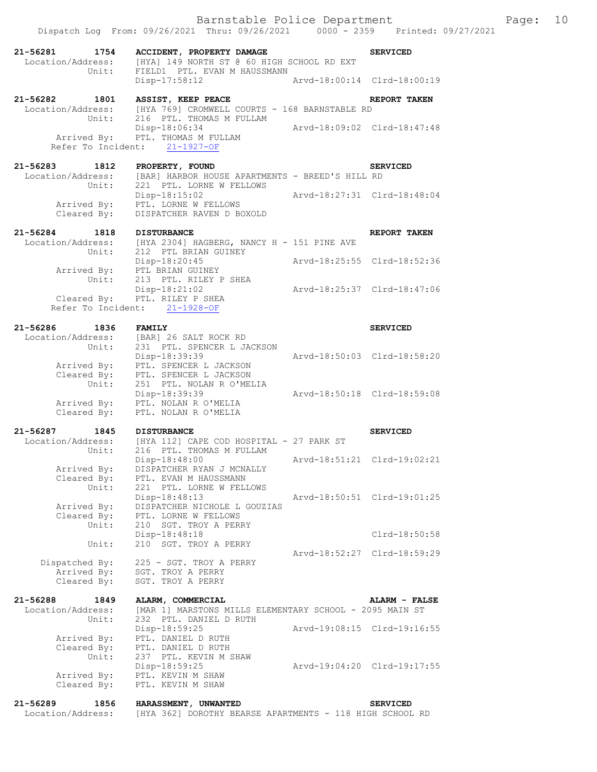| 21-56281<br>1754<br>Location/Address:<br>Unit:     | ACCIDENT, PROPERTY DAMAGE<br>[HYA] 149 NORTH ST @ 60 HIGH SCHOOL RD EXT<br>FIELD1 PTL. EVAN M HAUSSMANN |                             | <b>SERVICED</b>             |
|----------------------------------------------------|---------------------------------------------------------------------------------------------------------|-----------------------------|-----------------------------|
|                                                    | Disp-17:58:12                                                                                           | Arvd-18:00:14 Clrd-18:00:19 |                             |
| 21-56282 1801<br>Location/Address:<br>Unit:        | ASSIST, KEEP PEACE<br>[HYA 769] CROMWELL COURTS - 168 BARNSTABLE RD<br>216 PTL. THOMAS M FULLAM         |                             | REPORT TAKEN                |
|                                                    | Disp-18:06:34<br>Arrived By: PTL. THOMAS M FULLAM<br>Refer To Incident: 21-1927-OF                      | Arvd-18:09:02 Clrd-18:47:48 |                             |
| 21-56283 1812<br>Location/Address:<br>Unit:        | PROPERTY, FOUND<br>[BAR] HARBOR HOUSE APARTMENTS - BREED'S HILL RD<br>221 PTL. LORNE W FELLOWS          |                             | <b>SERVICED</b>             |
| Cleared By:                                        | $Disp-18:15:02$<br>Arrived By: PTL. LORNE W FELLOWS<br>DISPATCHER RAVEN D BOXOLD                        | Arvd-18:27:31 Clrd-18:48:04 |                             |
| 21-56284<br>1818                                   | <b>DISTURBANCE</b>                                                                                      |                             | REPORT TAKEN                |
|                                                    | Location/Address: [HYA 2304] HAGBERG, NANCY H - 151 PINE AVE Unit: 212 PTL BRIAN GUINEY                 |                             |                             |
| Arrived By:<br>Unit:                               | Disp-18:20:45<br>PTL BRIAN GUINEY<br>213 PTL. RILEY P SHEA                                              | Arvd-18:25:55 Clrd-18:52:36 |                             |
|                                                    | Disp-18:21:02<br>Cleared By: PTL. RILEY P SHEA<br>Refer To Incident: 21-1928-OF                         | Arvd-18:25:37 Clrd-18:47:06 |                             |
| 21-56286 1836                                      | <b>FAMILY</b>                                                                                           |                             | <b>SERVICED</b>             |
| Location/Address:<br>Unit:                         | [BAR] 26 SALT ROCK RD<br>231 PTL. SPENCER L JACKSON                                                     |                             |                             |
| Cleared By:                                        | Disp-18:39:39<br>Arrived By: PTL. SPENCER L JACKSON<br>PTL. SPENCER L JACKSON                           |                             | Arvd-18:50:03 Clrd-18:58:20 |
| Unit:<br>Cleared By:                               | 251 PTL. NOLAN R O'MELIA<br>Disp-18:39:39<br>Arrived By: PTL. NOLAN R O'MELIA<br>PTL. NOLAN R O'MELIA   |                             | Arvd-18:50:18 Clrd-18:59:08 |
| 21-56287                                           |                                                                                                         |                             |                             |
| 1845<br>Location/Address:                          | <b>DISTURBANCE</b><br>dress: [HYA 112] CAPE COD HOSPITAL - 27 PARK ST<br>Unit: 216 PTL THOMAS M TILLER  |                             | <b>SERVICED</b>             |
| Arrived By:                                        | Disp-18:48:00<br>DISPATCHER RYAN J MCNALLY<br>PTL. EVAN M HAUSSMANN                                     |                             | Arvd-18:51:21 Clrd-19:02:21 |
| Cleared By:<br>Unit:                               | 221 PTL. LORNE W FELLOWS<br>Disp-18:48:13                                                               |                             | Arvd-18:50:51 Clrd-19:01:25 |
| Arrived By:<br>Cleared By:<br>Unit:                | DISPATCHER NICHOLE L GOUZIAS<br>PTL. LORNE W FELLOWS<br>210 SGT. TROY A PERRY                           |                             |                             |
| Unit:                                              | Disp-18:48:18<br>210 SGT. TROY A PERRY                                                                  |                             | $Clrd-18:50:58$             |
| Dispatched By:                                     | 225 - SGT. TROY A PERRY                                                                                 |                             | Arvd-18:52:27 Clrd-18:59:29 |
| Arrived By:<br>Cleared By:                         | SGT. TROY A PERRY<br>SGT. TROY A PERRY                                                                  |                             |                             |
| $21 - 56288$<br>1849<br>Location/Address:<br>Unit: | ALARM, COMMERCIAL<br>[MAR 1] MARSTONS MILLS ELEMENTARY SCHOOL - 2095 MAIN ST<br>232 PTL. DANIEL D RUTH  |                             | ALARM - FALSE               |
| Arrived By:                                        | Disp-18:59:25<br>PTL. DANIEL D RUTH                                                                     |                             | Arvd-19:08:15 Clrd-19:16:55 |
| Cleared By:<br>Unit:                               | PTL. DANIEL D RUTH<br>237 PTL. KEVIN M SHAW<br>Disp-18:59:25                                            |                             | Arvd-19:04:20 Clrd-19:17:55 |
| Arrived By:<br>Cleared By:                         | PTL. KEVIN M SHAW<br>PTL. KEVIN M SHAW                                                                  |                             |                             |
| $21 - 56289$<br>1856<br>Location/Address:          | HARASSMENT, UNWANTED<br>[HYA 362] DOROTHY BEARSE APARTMENTS - 118 HIGH SCHOOL RD                        |                             | <b>SERVICED</b>             |

Dispatch Log From: 09/26/2021 Thru: 09/26/2021 0000 - 2359 Printed: 09/27/2021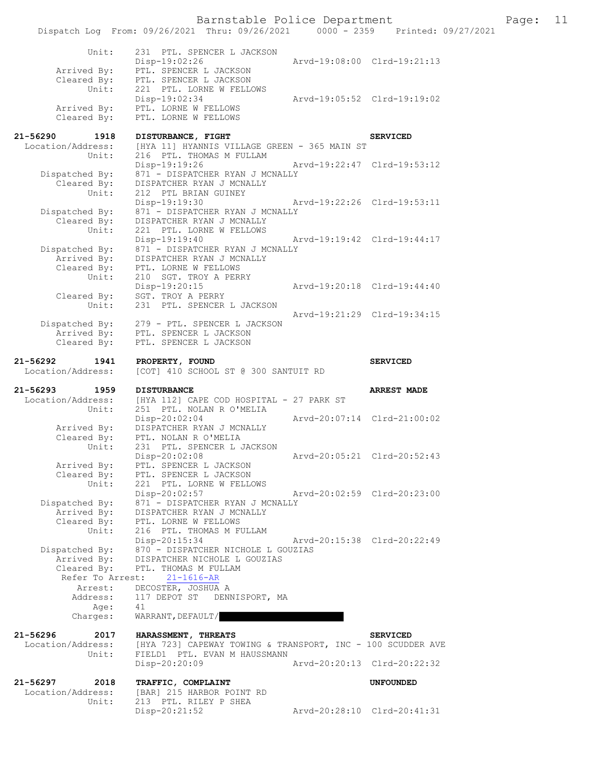|                                                | Barnstable Police Department<br>Dispatch Log From: 09/26/2021 Thru: 09/26/2021 0000 - 2359 Printed: 09/27/2021 |                             |                             | Page: 11 |  |
|------------------------------------------------|----------------------------------------------------------------------------------------------------------------|-----------------------------|-----------------------------|----------|--|
| Unit:                                          | 231 PTL. SPENCER L JACKSON<br>Disp-19:02:26                                                                    |                             | Arvd-19:08:00 Clrd-19:21:13 |          |  |
| Arrived By:<br>Cleared By:                     | PTL. SPENCER L JACKSON<br>PTL. SPENCER L JACKSON                                                               |                             |                             |          |  |
| Unit:                                          | 221 PTL. LORNE W FELLOWS<br>Disp-19:02:34                                                                      | Arvd-19:05:52 Clrd-19:19:02 |                             |          |  |
| Arrived By:<br>Cleared By:                     | PTL. LORNE W FELLOWS<br>PTL. LORNE W FELLOWS                                                                   |                             |                             |          |  |
| 21-56290<br>1918                               | DISTURBANCE, FIGHT                                                                                             |                             | <b>SERVICED</b>             |          |  |
| Location/Address:<br>Unit:                     | [HYA 11] HYANNIS VILLAGE GREEN - 365 MAIN ST<br>216 PTL. THOMAS M FULLAM                                       |                             |                             |          |  |
| Dispatched By:<br>Cleared By:<br>Unit:         | Disp-19:19:26<br>871 - DISPATCHER RYAN J MCNALLY<br>DISPATCHER RYAN J MCNALLY<br>212 PTL BRIAN GUINEY          |                             | Arvd-19:22:47 Clrd-19:53:12 |          |  |
| Dispatched By:                                 | Disp-19:19:30<br>871 - DISPATCHER RYAN J MCNALLY                                                               | Arvd-19:22:26 Clrd-19:53:11 |                             |          |  |
| Cleared By:<br>Unit:                           | DISPATCHER RYAN J MCNALLY<br>221 PTL. LORNE W FELLOWS<br>Disp-19:19:40                                         | Arvd-19:19:42 Clrd-19:44:17 |                             |          |  |
| Dispatched By:<br>Arrived By:<br>Cleared By:   | 871 - DISPATCHER RYAN J MCNALLY<br>DISPATCHER RYAN J MCNALLY<br>PTL. LORNE W FELLOWS                           |                             |                             |          |  |
| Unit:                                          | 210 SGT. TROY A PERRY<br>Disp-19:20:15                                                                         | Arvd-19:20:18 Clrd-19:44:40 |                             |          |  |
| Cleared By:<br>Unit:                           | SGT. TROY A PERRY<br>231 PTL. SPENCER L JACKSON                                                                |                             | Arvd-19:21:29 Clrd-19:34:15 |          |  |
| Dispatched By:<br>Arrived By:                  | 279 - PTL. SPENCER L JACKSON<br>PTL. SPENCER L JACKSON                                                         |                             |                             |          |  |
| Cleared By:                                    | PTL. SPENCER L JACKSON                                                                                         |                             |                             |          |  |
| 21-56292<br>1941<br>Location/Address:          | PROPERTY, FOUND<br>[COT] 410 SCHOOL ST @ 300 SANTUIT RD                                                        |                             | <b>SERVICED</b>             |          |  |
| 21-56293<br>1959                               | <b>DISTURBANCE</b>                                                                                             |                             | <b>ARREST MADE</b>          |          |  |
| Location/Address:<br>Unit:                     | [HYA 112] CAPE COD HOSPITAL - 27 PARK ST<br>251 PTL. NOLAN R O'MELIA                                           |                             |                             |          |  |
| Arrived By:<br>Cleared By:                     | Disp-20:02:04<br>DISPATCHER RYAN J MCNALLY<br>PTL. NOLAN R O'MELIA                                             |                             | Arvd-20:07:14 Clrd-21:00:02 |          |  |
| Unit:                                          | 231 PTL. SPENCER L JACKSON<br>Disp-20:02:08                                                                    |                             | Arvd-20:05:21 Clrd-20:52:43 |          |  |
| Arrived By:<br>Cleared By:<br>Unit:            | PTL. SPENCER L JACKSON<br>PTL. SPENCER L JACKSON<br>221 PTL. LORNE W FELLOWS                                   |                             |                             |          |  |
| Dispatched By:                                 | Disp-20:02:57<br>871 - DISPATCHER RYAN J MCNALLY                                                               | Aryd-20:02:59 Clrd-20:23:00 |                             |          |  |
| Arrived By:<br>Cleared By:<br>Unit:            | DISPATCHER RYAN J MCNALLY<br>PTL. LORNE W FELLOWS<br>216 PTL. THOMAS M FULLAM                                  |                             |                             |          |  |
| Dispatched By:                                 | Disp-20:15:34<br>870 - DISPATCHER NICHOLE L GOUZIAS                                                            | Arvd-20:15:38 Clrd-20:22:49 |                             |          |  |
| Arrived By:<br>Cleared By:<br>Refer To Arrest: | DISPATCHER NICHOLE L GOUZIAS<br>PTL. THOMAS M FULLAM<br>$21 - 1616 - AR$                                       |                             |                             |          |  |
| Arrest:                                        | DECOSTER, JOSHUA A                                                                                             |                             |                             |          |  |
| Address:<br>Age:<br>Charges:                   | DENNISPORT, MA<br>117 DEPOT ST<br>41<br>WARRANT, DEFAULT/                                                      |                             |                             |          |  |
| 21-56296<br>2017                               | HARASSMENT, THREATS                                                                                            |                             | <b>SERVICED</b>             |          |  |
| Location/Address:<br>Unit:                     | [HYA 723] CAPEWAY TOWING & TRANSPORT, INC - 100 SCUDDER AVE<br>FIELD1 PTL. EVAN M HAUSSMANN                    |                             |                             |          |  |
|                                                | Disp-20:20:09                                                                                                  |                             | Arvd-20:20:13 Clrd-20:22:32 |          |  |
| 21-56297<br>2018<br>Location/Address:<br>Unit: | TRAFFIC, COMPLAINT<br>[BAR] 215 HARBOR POINT RD<br>213 PTL. RILEY P SHEA                                       |                             | <b>UNFOUNDED</b>            |          |  |
|                                                | $Disp-20:21:52$                                                                                                | Arvd-20:28:10 Clrd-20:41:31 |                             |          |  |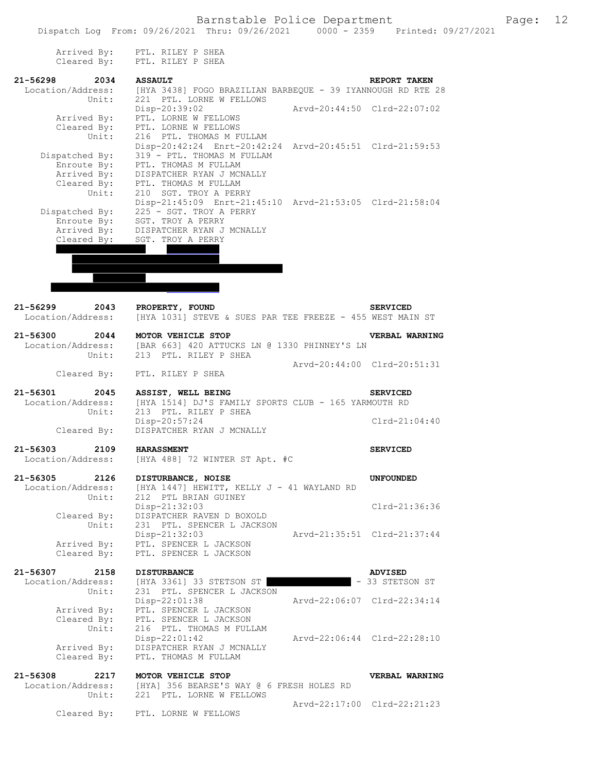|                      | Arrived By: PTL. RILEY P SHEA                                  |                             |
|----------------------|----------------------------------------------------------------|-----------------------------|
|                      | Cleared By: PTL. RILEY P SHEA                                  |                             |
|                      |                                                                |                             |
| $21 - 56298$<br>2034 | <b>ASSAULT</b>                                                 | REPORT TAKEN                |
| Location/Address:    | [HYA 3438] FOGO BRAZILIAN BARBEQUE - 39 IYANNOUGH RD RTE 28    |                             |
| Unit:                | 221 PTL. LORNE W FELLOWS                                       |                             |
|                      | Disp-20:39:02<br>Arvd-20:44:50 Clrd-22:07:02                   |                             |
| Arrived By:          | PTL. LORNE W FELLOWS                                           |                             |
| Cleared By:          | PTL. LORNE W FELLOWS                                           |                             |
| Unit:                | 216 PTL. THOMAS M FULLAM                                       |                             |
|                      | Disp-20:42:24 Enrt-20:42:24 Arvd-20:45:51 Clrd-21:59:53        |                             |
| Dispatched By:       | 319 - PTL. THOMAS M FULLAM                                     |                             |
| Enroute By:          | PTL. THOMAS M FULLAM                                           |                             |
| Arrived By:          | DISPATCHER RYAN J MCNALLY                                      |                             |
| Cleared By:          | PTL. THOMAS M FULLAM                                           |                             |
| Unit:                | 210 SGT. TROY A PERRY                                          |                             |
|                      | Disp-21:45:09 Enrt-21:45:10 Arvd-21:53:05 Clrd-21:58:04        |                             |
| Dispatched By:       | 225 - SGT. TROY A PERRY                                        |                             |
| Enroute By:          | SGT. TROY A PERRY                                              |                             |
| Arrived By:          | DISPATCHER RYAN J MCNALLY                                      |                             |
| Cleared By:          | SGT. TROY A PERRY                                              |                             |
|                      |                                                                |                             |
|                      |                                                                |                             |
|                      |                                                                |                             |
|                      |                                                                |                             |
|                      |                                                                |                             |
|                      |                                                                |                             |
| $21 - 56299$<br>2043 | PROPERTY, FOUND                                                | <b>SERVICED</b>             |
| Location/Address:    | [HYA 1031] STEVE & SUES PAR TEE FREEZE - 455 WEST MAIN ST      |                             |
| 21-56300 2044        |                                                                |                             |
|                      | MOTOR VEHICLE STOP                                             | <b>VERBAL WARNING</b>       |
|                      | Location/Address: [BAR 663] 420 ATTUCKS LN @ 1330 PHINNEY'S LN |                             |
| Unit:                | 213 PTL. RILEY P SHEA                                          |                             |
|                      |                                                                | Arvd-20:44:00 Clrd-20:51:31 |
| Cleared By:          | PTL. RILEY P SHEA                                              |                             |
| 21-56301<br>2045     | ASSIST, WELL BEING                                             | <b>SERVICED</b>             |
| Location/Address:    | [HYA 1514] DJ'S FAMILY SPORTS CLUB - 165 YARMOUTH RD           |                             |
| Unit:                | 213 PTL. RILEY P SHEA                                          |                             |
|                      | Disp-20:57:24                                                  |                             |
|                      |                                                                |                             |
|                      |                                                                | $Clrd-21:04:40$             |
| Cleared By:          | DISPATCHER RYAN J MCNALLY                                      |                             |
|                      |                                                                |                             |
| $21 - 56303$         | 2109 HARASSMENT                                                | <b>SERVICED</b>             |
| Location/Address:    | [HYA 488] 72 WINTER ST Apt. #C                                 |                             |
|                      |                                                                |                             |
| 21-56305<br>2126     | DISTURBANCE, NOISE                                             | <b>UNFOUNDED</b>            |
| Location/Address:    | [HYA 1447] HEWITT, KELLY J - 41 WAYLAND RD                     |                             |
| Unit:                | 212 PTL BRIAN GUINEY                                           |                             |
|                      | Disp-21:32:03                                                  | Clrd-21:36:36               |
| Cleared By:          | DISPATCHER RAVEN D BOXOLD                                      |                             |
| Unit:                | 231 PTL. SPENCER L JACKSON                                     |                             |
|                      | Disp-21:32:03                                                  | Aryd-21:35:51 Clrd-21:37:44 |
| Arrived By:          | PTL. SPENCER L JACKSON                                         |                             |
| Cleared By:          | PTL. SPENCER L JACKSON                                         |                             |
| 21-56307<br>2158     | <b>DISTURBANCE</b>                                             | <b>ADVISED</b>              |
| Location/Address:    | [HYA 3361] 33 STETSON ST                                       | - 33 STETSON ST             |
| Unit:                | 231 PTL. SPENCER L JACKSON                                     |                             |
|                      | Disp-22:01:38                                                  | Arvd-22:06:07 Clrd-22:34:14 |
| Arrived By:          | PTL. SPENCER L JACKSON                                         |                             |
| Cleared By:          | PTL. SPENCER L JACKSON                                         |                             |
| Unit:                | 216 PTL. THOMAS M FULLAM                                       |                             |
|                      | Disp-22:01:42                                                  | Arvd-22:06:44 Clrd-22:28:10 |
| Arrived By:          | DISPATCHER RYAN J MCNALLY                                      |                             |
| Cleared By:          | PTL. THOMAS M FULLAM                                           |                             |
|                      |                                                                |                             |
| 21-56308<br>2217     | MOTOR VEHICLE STOP                                             | VERBAL WARNING              |
| Location/Address:    | [HYA] 356 BEARSE'S WAY @ 6 FRESH HOLES RD                      |                             |
| Unit:                | 221 PTL. LORNE W FELLOWS                                       |                             |
| Cleared By:          | PTL. LORNE W FELLOWS                                           | Arvd-22:17:00 Clrd-22:21:23 |